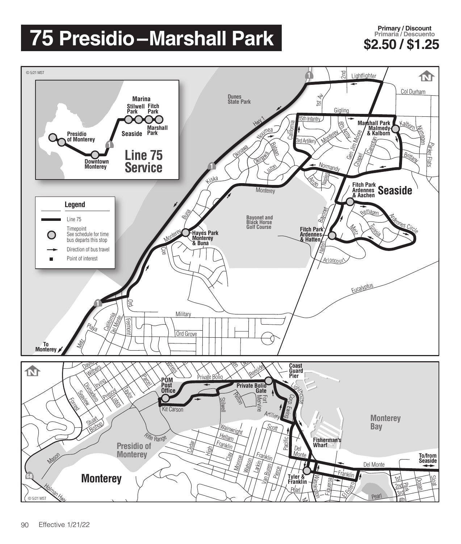## **75 Presidio –Marshall Park**